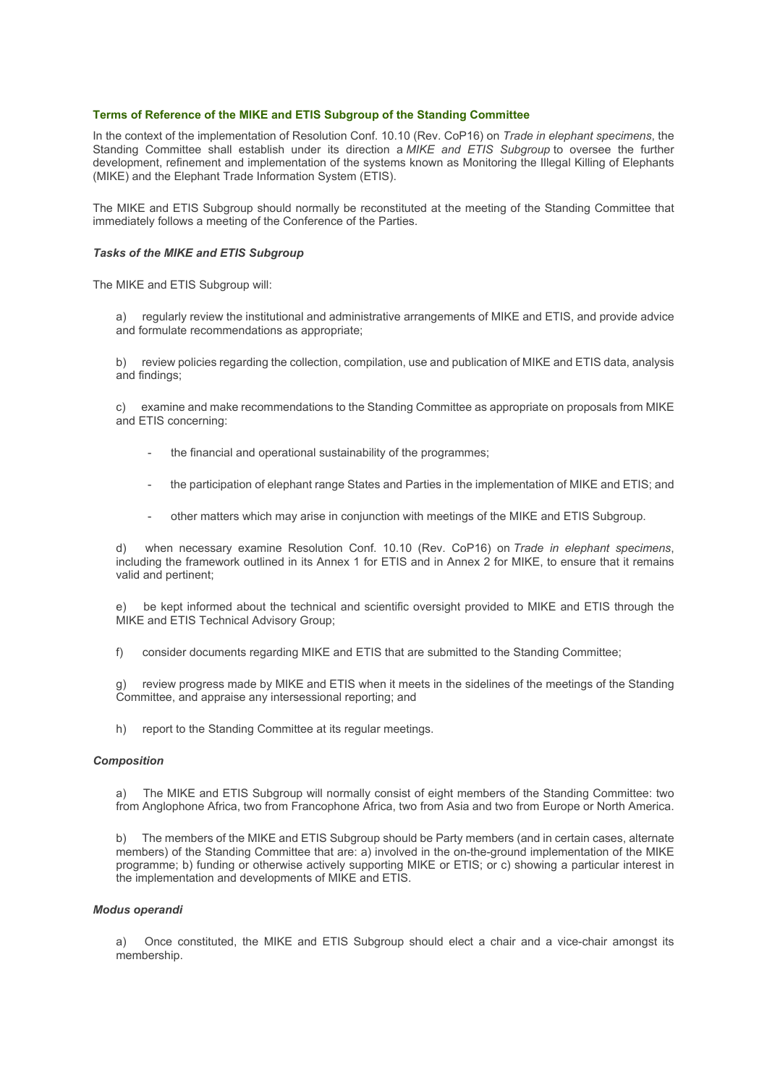## **Terms of Reference of the MIKE and ETIS Subgroup of the Standing Committee**

In the context of the implementation of Resolution Conf. 10.10 (Rev. CoP16) on *Trade in elephant specimens*, the Standing Committee shall establish under its direction a *MIKE and ETIS Subgroup* to oversee the further development, refinement and implementation of the systems known as Monitoring the Illegal Killing of Elephants (MIKE) and the Elephant Trade Information System (ETIS).

The MIKE and ETIS Subgroup should normally be reconstituted at the meeting of the Standing Committee that immediately follows a meeting of the Conference of the Parties.

## *Tasks of the MIKE and ETIS Subgroup*

The MIKE and ETIS Subgroup will:

a) regularly review the institutional and administrative arrangements of MIKE and ETIS, and provide advice and formulate recommendations as appropriate;

b) review policies regarding the collection, compilation, use and publication of MIKE and ETIS data, analysis and findings;

c) examine and make recommendations to the Standing Committee as appropriate on proposals from MIKE and ETIS concerning:

- the financial and operational sustainability of the programmes;
- the participation of elephant range States and Parties in the implementation of MIKE and ETIS; and
- other matters which may arise in conjunction with meetings of the MIKE and ETIS Subgroup.

when necessary examine Resolution Conf. 10.10 (Rev. CoP16) on *Trade in elephant specimens*, including the framework outlined in its Annex 1 for ETIS and in Annex 2 for MIKE, to ensure that it remains valid and pertinent;

e) be kept informed about the technical and scientific oversight provided to MIKE and ETIS through the MIKE and ETIS Technical Advisory Group;

f) consider documents regarding MIKE and ETIS that are submitted to the Standing Committee;

g) review progress made by MIKE and ETIS when it meets in the sidelines of the meetings of the Standing Committee, and appraise any intersessional reporting; and

h) report to the Standing Committee at its regular meetings.

## *Composition*

a) The MIKE and ETIS Subgroup will normally consist of eight members of the Standing Committee: two from Anglophone Africa, two from Francophone Africa, two from Asia and two from Europe or North America.

b) The members of the MIKE and ETIS Subgroup should be Party members (and in certain cases, alternate members) of the Standing Committee that are: a) involved in the on-the-ground implementation of the MIKE programme; b) funding or otherwise actively supporting MIKE or ETIS; or c) showing a particular interest in the implementation and developments of MIKE and ETIS.

## *Modus operandi*

a) Once constituted, the MIKE and ETIS Subgroup should elect a chair and a vice-chair amongst its membership.